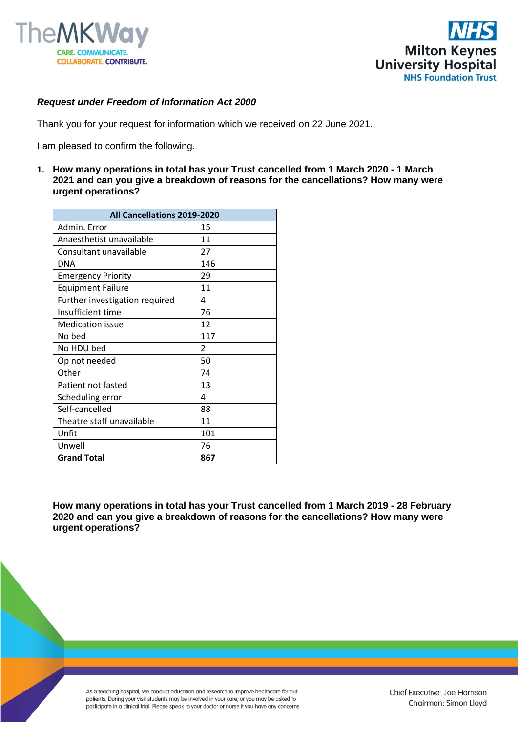



## *Request under Freedom of Information Act 2000*

Thank you for your request for information which we received on 22 June 2021.

I am pleased to confirm the following.

**1. How many operations in total has your Trust cancelled from 1 March 2020 - 1 March 2021 and can you give a breakdown of reasons for the cancellations? How many were urgent operations?**

| All Cancellations 2019-2020    |     |
|--------------------------------|-----|
| Admin. Error                   | 15  |
| Anaesthetist unavailable       | 11  |
| Consultant unavailable         | 27  |
| <b>DNA</b>                     | 146 |
| <b>Emergency Priority</b>      | 29  |
| <b>Equipment Failure</b>       | 11  |
| Further investigation required | 4   |
| Insufficient time              | 76  |
| <b>Medication issue</b>        | 12  |
| No bed                         | 117 |
| No HDU bed                     | 2   |
| Op not needed                  | 50  |
| Other                          | 74  |
| Patient not fasted             | 13  |
| Scheduling error               | 4   |
| Self-cancelled                 | 88  |
| Theatre staff unavailable      | 11  |
| Unfit                          | 101 |
| Unwell                         | 76  |
| <b>Grand Total</b>             | 867 |

**How many operations in total has your Trust cancelled from 1 March 2019 - 28 February 2020 and can you give a breakdown of reasons for the cancellations? How many were urgent operations?**

As a teaching hospital, we conduct education and research to improve healthcare for our patients. During your visit students may be involved in your care, or you may be asked to participate in a clinical trial. Please speak to your doctor or nurse if you have any concerns.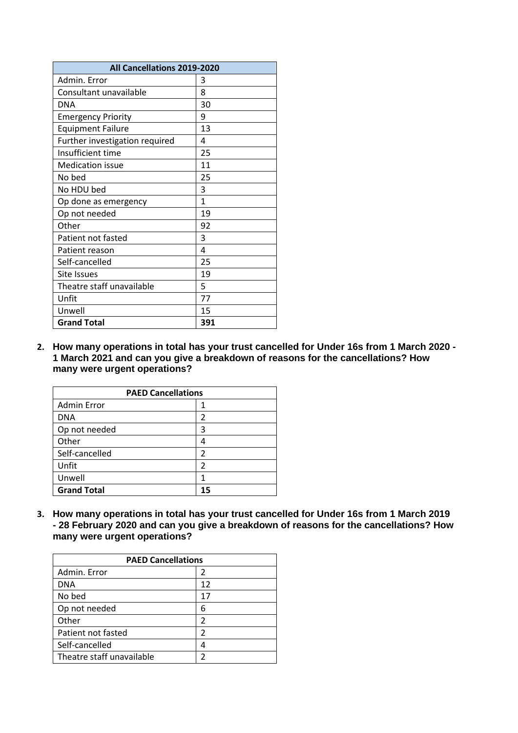| All Cancellations 2019-2020    |     |
|--------------------------------|-----|
| Admin. Error                   | 3   |
| Consultant unavailable         | 8   |
| <b>DNA</b>                     | 30  |
| <b>Emergency Priority</b>      | 9   |
| <b>Equipment Failure</b>       | 13  |
| Further investigation required | 4   |
| Insufficient time              | 25  |
| <b>Medication issue</b>        | 11  |
| No bed                         | 25  |
| No HDU bed                     | 3   |
| Op done as emergency           | 1   |
| Op not needed                  | 19  |
| Other                          | 92  |
| Patient not fasted             | 3   |
| Patient reason                 | 4   |
| Self-cancelled                 | 25  |
| Site Issues                    | 19  |
| Theatre staff unavailable      | 5   |
| Unfit                          | 77  |
| Unwell                         | 15  |
| <b>Grand Total</b>             | 391 |

**2. How many operations in total has your trust cancelled for Under 16s from 1 March 2020 - 1 March 2021 and can you give a breakdown of reasons for the cancellations? How many were urgent operations?**

| <b>PAED Cancellations</b> |    |  |
|---------------------------|----|--|
| <b>Admin Error</b>        |    |  |
| <b>DNA</b>                | 2  |  |
| Op not needed             | 3  |  |
| Other                     | 4  |  |
| Self-cancelled            | 2  |  |
| Unfit                     | 2  |  |
| Unwell                    |    |  |
| <b>Grand Total</b>        | 15 |  |

**3. How many operations in total has your trust cancelled for Under 16s from 1 March 2019 - 28 February 2020 and can you give a breakdown of reasons for the cancellations? How many were urgent operations?**

| <b>PAED Cancellations</b> |    |
|---------------------------|----|
| Admin. Error              | 2  |
| DNA                       | 12 |
| No bed                    | 17 |
| Op not needed             | 6  |
| Other                     | 2  |
| Patient not fasted        | 2  |
| Self-cancelled            | 4  |
| Theatre staff unavailable | າ  |